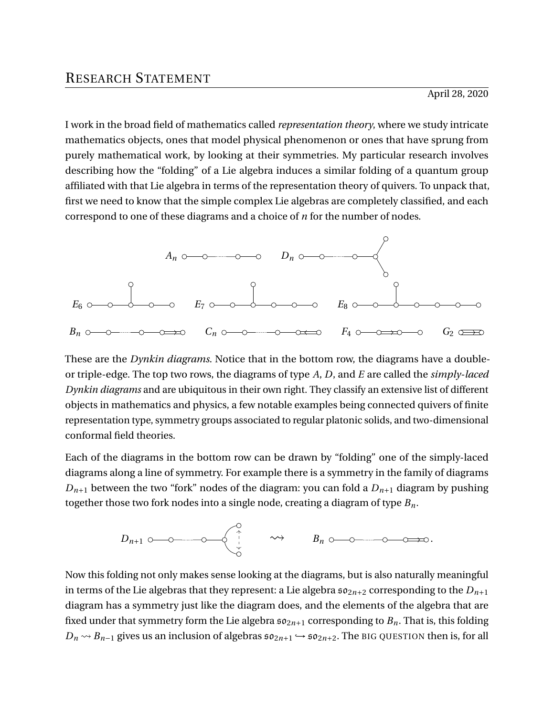I work in the broad field of mathematics called *representation theory*, where we study intricate mathematics objects, ones that model physical phenomenon or ones that have sprung from purely mathematical work, by looking at their symmetries. My particular research involves describing how the "folding" of a Lie algebra induces a similar folding of a quantum group affiliated with that Lie algebra in terms of the representation theory of quivers. To unpack that, first we need to know that the simple complex Lie algebras are completely classified, and each correspond to one of these diagrams and a choice of *n* for the number of nodes.



These are the *Dynkin diagrams*. Notice that in the bottom row, the diagrams have a doubleor triple-edge. The top two rows, the diagrams of type *A*, *D*, and *E* are called the *simply-laced Dynkin diagrams* and are ubiquitous in their own right. They classify an extensive list of different objects in mathematics and physics, a few notable examples being connected quivers of finite representation type, symmetry groups associated to regular platonic solids, and two-dimensional conformal field theories.

Each of the diagrams in the bottom row can be drawn by "folding" one of the simply-laced diagrams along a line of symmetry. For example there is a symmetry in the family of diagrams  $D_{n+1}$  between the two "fork" nodes of the diagram: you can fold a  $D_{n+1}$  diagram by pushing together those two fork nodes into a single node, creating a diagram of type *Bn*.

$$
D_{n+1} \circ \hspace{2.5mm} \circ \hspace{2.5mm} \circ \hspace{2.5mm} \bullet \hspace{2.5mm} \longrightarrow \hspace{2.5mm} B_n \circ \hspace{2.5mm} \circ \hspace{2.5mm} \circ \hspace{2.5mm} \circ \hspace{2.5mm} \circ \hspace{2.5mm} \circ \hspace{2.5mm} \circ \hspace{2.5mm} \circ \hspace{2.5mm} \circ \hspace{2.5mm} \circ \hspace{2.5mm} \circ \hspace{2.5mm} \circ \hspace{2.5mm} \circ \hspace{2.5mm} \circ \hspace{2.5mm} \circ \hspace{2.5mm} \circ \hspace{2.5mm} \circ \hspace{2.5mm} \circ \hspace{2.5mm} \circ \hspace{2.5mm} \circ \hspace{2.5mm} \circ \hspace{2.5mm} \circ \hspace{2.5mm} \circ \hspace{2.5mm} \circ \hspace{2.5mm} \circ \hspace{2.5mm} \circ \hspace{2.5mm} \circ \hspace{2.5mm} \circ \hspace{2.5mm} \circ \hspace{2.5mm} \circ \hspace{2.5mm} \circ \hspace{2.5mm} \circ \hspace{2.5mm} \circ \hspace{2.5mm} \circ \hspace{2.5mm} \circ \hspace{2.5mm} \circ \hspace{2.5mm} \circ \hspace{2.5mm} \circ \hspace{2.5mm} \circ \hspace{2.5mm} \circ \hspace{2.5mm} \circ \hspace{2.5mm} \circ \hspace{2.5mm} \circ \hspace{2.5mm} \circ \hspace{2.5mm} \circ \hspace{2.5mm} \circ \hspace{2.5mm} \circ \hspace{2.5mm} \circ \hspace{2.5mm} \circ \hspace{2.5mm} \circ \hspace{2.5mm} \circ \hspace{2.5mm} \circ \hspace{2.5mm} \circ \hspace{2.5mm} \circ \hspace{2.5mm} \circ \hspace{2.5mm} \circ \hspace{2.5mm} \circ \hspace{2.5mm} \circ \hspace{2.5mm} \circ \hspace{2.5mm} \circ \hspace{2.5mm} \circ \hspace{2.5mm} \circ \hspace{2.5mm} \circ \hspace{2.5mm} \circ \
$$

Now this folding not only makes sense looking at the diagrams, but is also naturally meaningful in terms of the Lie algebras that they represent: a Lie algebra  $\mathfrak{so}_{2n+2}$  corresponding to the  $D_{n+1}$ diagram has a symmetry just like the diagram does, and the elements of the algebra that are fixed under that symmetry form the Lie algebra  $\mathfrak{so}_{2n+1}$  corresponding to  $B_n$ . That is, this folding  $D_n \rightarrow B_{n-1}$  gives us an inclusion of algebras  $\mathfrak{so}_{2n+1} \hookrightarrow \mathfrak{so}_{2n+2}$ . The BIG QUESTION then is, for all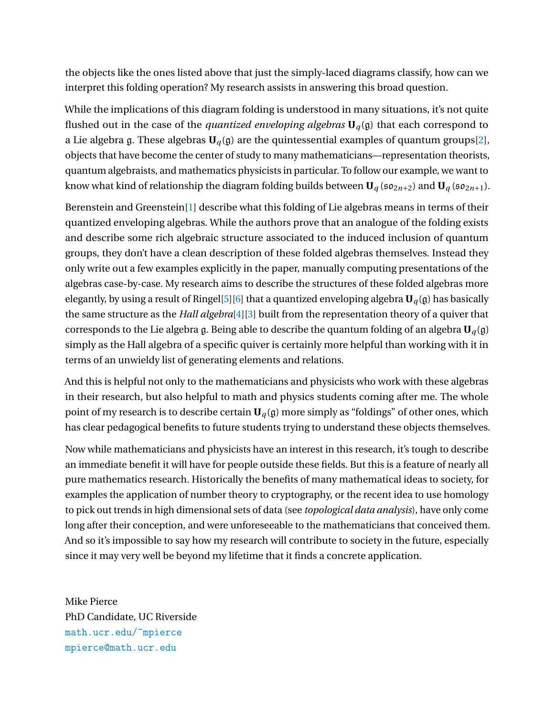the objects like the ones listed above that just the simply-laced diagrams classify, how can we interpret this folding operation? My research assists in answering this broad question.

While the implications of this diagram folding is understood in many situations, it's not quite flushed out in the case of the *quantized enveloping algebras*  $U_q(g)$  that each correspond to a Lie algebra g. These algebras  $U_q$ (g) are the quintessential examples of quantum groups[\[2\]](#page-2-0), objects that have become the center of study to many mathematicians—representation theorists, quantum algebraists, and mathematics physicists in particular. To follow our example, we want to know what kind of relationship the diagram folding builds between  $U_q$  ( $\mathfrak{so}_{2n+2}$ ) and  $U_q$  ( $\mathfrak{so}_{2n+1}$ ).

Berenstein and Greenstein[\[1\]](#page-2-1) describe what this folding of Lie algebras means in terms of their quantized enveloping algebras. While the authors prove that an analogue of the folding exists and describe some rich algebraic structure associated to the induced inclusion of quantum groups, they don't have a clean description of these folded algebras themselves. Instead they only write out a few examples explicitly in the paper, manually computing presentations of the algebras case-by-case. My research aims to describe the structures of these folded algebras more elegantly, by using a result of Ringel<sup>[\[5\]](#page-2-2)</sup>[\[6\]](#page-2-3) that a quantized enveloping algebra  $U_q(g)$  has basically the same structure as the *Hall algebra*[\[4\]](#page-2-4)[\[3\]](#page-2-5) built from the representation theory of a quiver that corresponds to the Lie algebra g. Being able to describe the quantum folding of an algebra  $U_q(g)$ simply as the Hall algebra of a specific quiver is certainly more helpful than working with it in terms of an unwieldy list of generating elements and relations.

And this is helpful not only to the mathematicians and physicists who work with these algebras in their research, but also helpful to math and physics students coming after me. The whole point of my research is to describe certain  $U_q(g)$  more simply as "foldings" of other ones, which has clear pedagogical benefits to future students trying to understand these objects themselves.

Now while mathematicians and physicists have an interest in this research, it's tough to describe an immediate benefit it will have for people outside these fields. But this is a feature of nearly all pure mathematics research. Historically the benefits of many mathematical ideas to society, for examples the application of number theory to cryptography, or the recent idea to use homology to pick out trends in high dimensional sets of data (see *topological data analysis*), have only come long after their conception, and were unforeseeable to the mathematicians that conceived them. And so it's impossible to say how my research will contribute to society in the future, especially since it may very well be beyond my lifetime that it finds a concrete application.

Mike Pierce PhD Candidate, UC Riverside [math.ucr.edu/~mpierce](http://math.ucr.edu/~mpierce) [mpierce@math.ucr.edu](mailto:mpierce@math.ucr.edu)